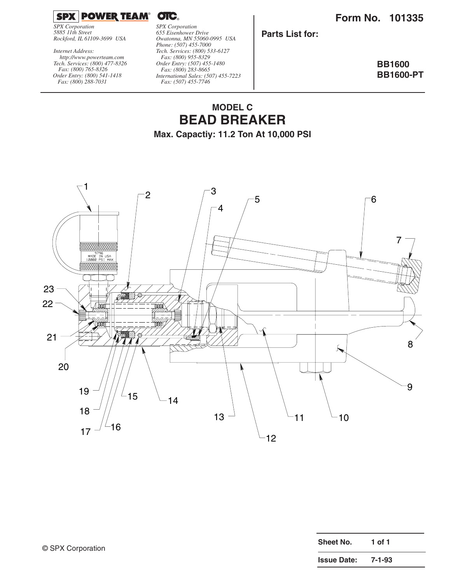**Form No. 101335**



*SPX Corporation 5885 11th Street Rockford, IL 61109-3699 USA*

*Tech. Services: (800) 477-8326 Fax: (800) 765-8326 Order Entry: (800) 541-1418 Fax: (800) 288-7031 http://www.powerteam.com Internet Address:*

*SPX Corporation 655 Eisenhower Drive Owatonna, MN 55060-0995 USA Phone: (507) 455-7000 Tech. Services: (800) 533-6127 Fax: (800) 955-8329 Order Entry: (507) 455-1480 Fax: (800) 283-8665 International Sales: (507) 455-7223 Fax: (507) 455-7746*

**Parts List for:**

**BB1600 BB1600-PT**

## **MODEL C BEAD BREAKER**

**Max. Capactiy: 11.2 Ton At 10,000 PSI**



| <b>Sheet No.</b>   | 1 of 1 |
|--------------------|--------|
| <b>Issue Date:</b> | 7-1-93 |